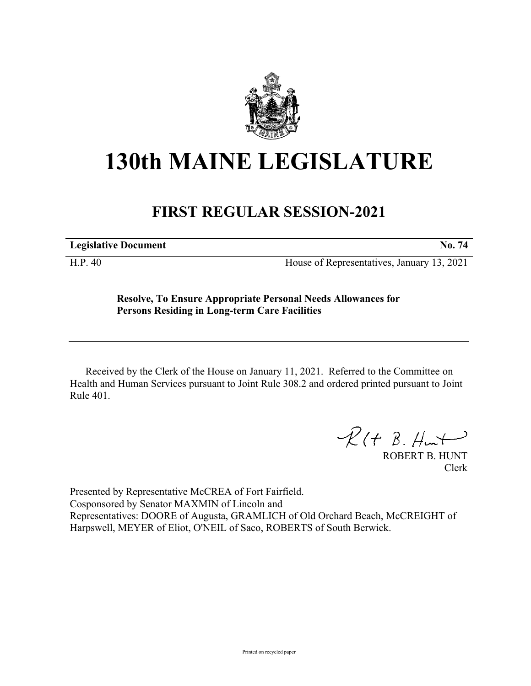

## **130th MAINE LEGISLATURE**

## **FIRST REGULAR SESSION-2021**

**Legislative Document No. 74**

H.P. 40 House of Representatives, January 13, 2021

**Resolve, To Ensure Appropriate Personal Needs Allowances for Persons Residing in Long-term Care Facilities**

Received by the Clerk of the House on January 11, 2021. Referred to the Committee on Health and Human Services pursuant to Joint Rule 308.2 and ordered printed pursuant to Joint Rule 401.

 $R(H B. H +$ 

ROBERT B. HUNT Clerk

Presented by Representative McCREA of Fort Fairfield. Cosponsored by Senator MAXMIN of Lincoln and Representatives: DOORE of Augusta, GRAMLICH of Old Orchard Beach, McCREIGHT of Harpswell, MEYER of Eliot, O'NEIL of Saco, ROBERTS of South Berwick.